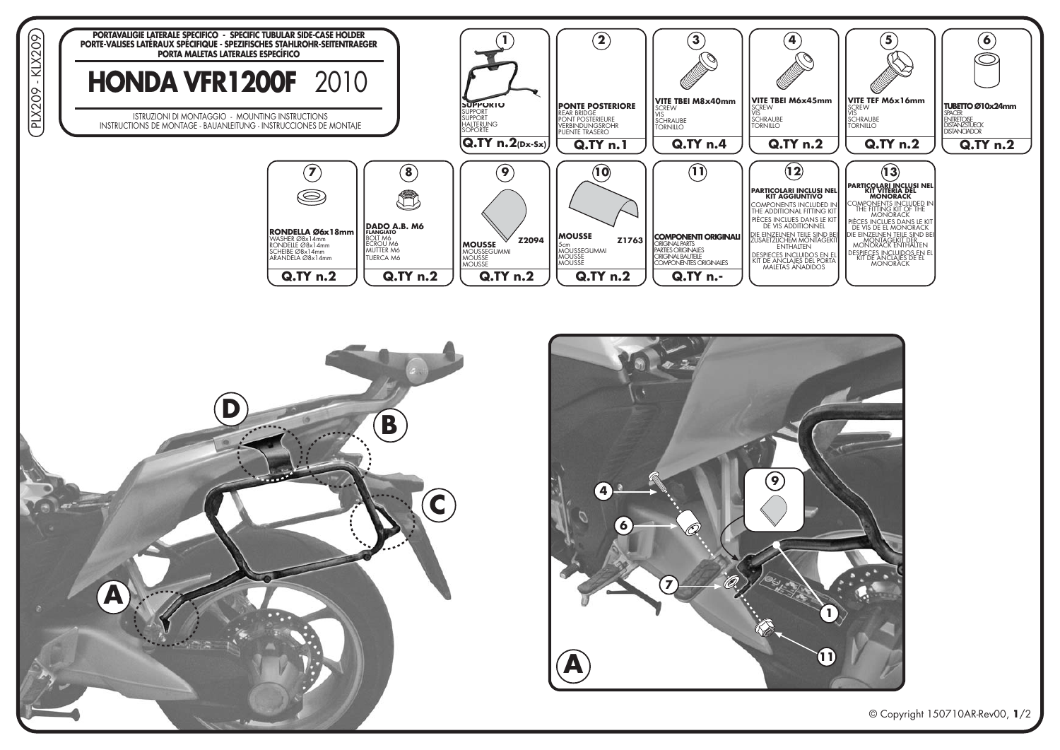





© Copyright 150710AR-Rev00, 1/2